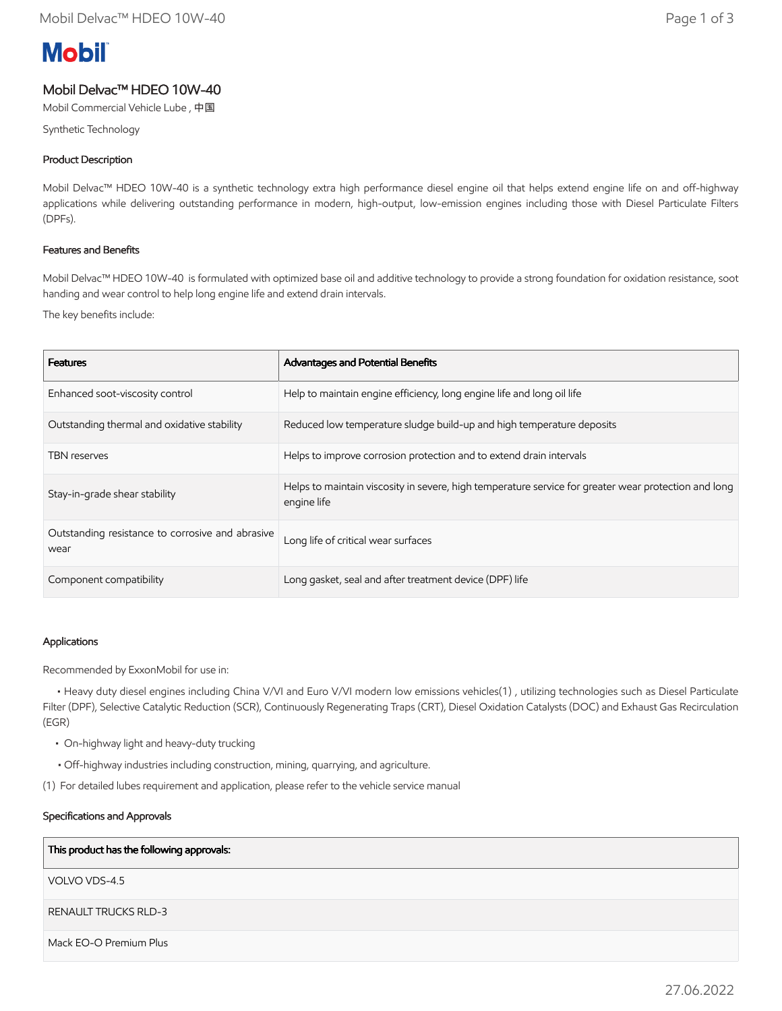# **Mobil**

## Mobil Delvac™ HDEO 10W-40

Mobil Commercial Vehicle Lube , 中国

Synthetic Technology

## Product Description

Mobil Delvac™ HDEO 10W-40 is a synthetic technology extra high performance diesel engine oil that helps extend engine life on and off-highway applications while delivering outstanding performance in modern, high-output, low-emission engines including those with Diesel Particulate Filters (DPFs).

## Features and Benefits

Mobil Delvac™ HDEO 10W-40 is formulated with optimized base oil and additive technology to provide a strong foundation for oxidation resistance, soot handing and wear control to help long engine life and extend drain intervals.

The key benefits include:

| <b>Features</b>                                          | Advantages and Potential Benefits                                                                                   |
|----------------------------------------------------------|---------------------------------------------------------------------------------------------------------------------|
| Enhanced soot-viscosity control                          | Help to maintain engine efficiency, long engine life and long oil life                                              |
| Outstanding thermal and oxidative stability              | Reduced low temperature sludge build-up and high temperature deposits                                               |
| <b>TBN</b> reserves                                      | Helps to improve corrosion protection and to extend drain intervals                                                 |
| Stay-in-grade shear stability                            | Helps to maintain viscosity in severe, high temperature service for greater wear protection and long<br>engine life |
| Outstanding resistance to corrosive and abrasive<br>wear | Long life of critical wear surfaces                                                                                 |
| Component compatibility                                  | Long gasket, seal and after treatment device (DPF) life                                                             |

#### Applications

Recommended by ExxonMobil for use in:

 • Heavy duty diesel engines including China V/VI and Euro V/VI modern low emissions vehicles(1) , utilizing technologies such as Diesel Particulate Filter (DPF), Selective Catalytic Reduction (SCR), Continuously Regenerating Traps (CRT), Diesel Oxidation Catalysts (DOC) and Exhaust Gas Recirculation (EGR)

- On-highway light and heavy-duty trucking
- Off-highway industries including construction, mining, quarrying, and agriculture.
- (1) For detailed lubes requirement and application, please refer to the vehicle service manual

#### Specifications and Approvals

#### This product has the following approvals:

VOLVO VDS-4.5

RENAULT TRUCKS RLD-3

Mack EO-O Premium Plus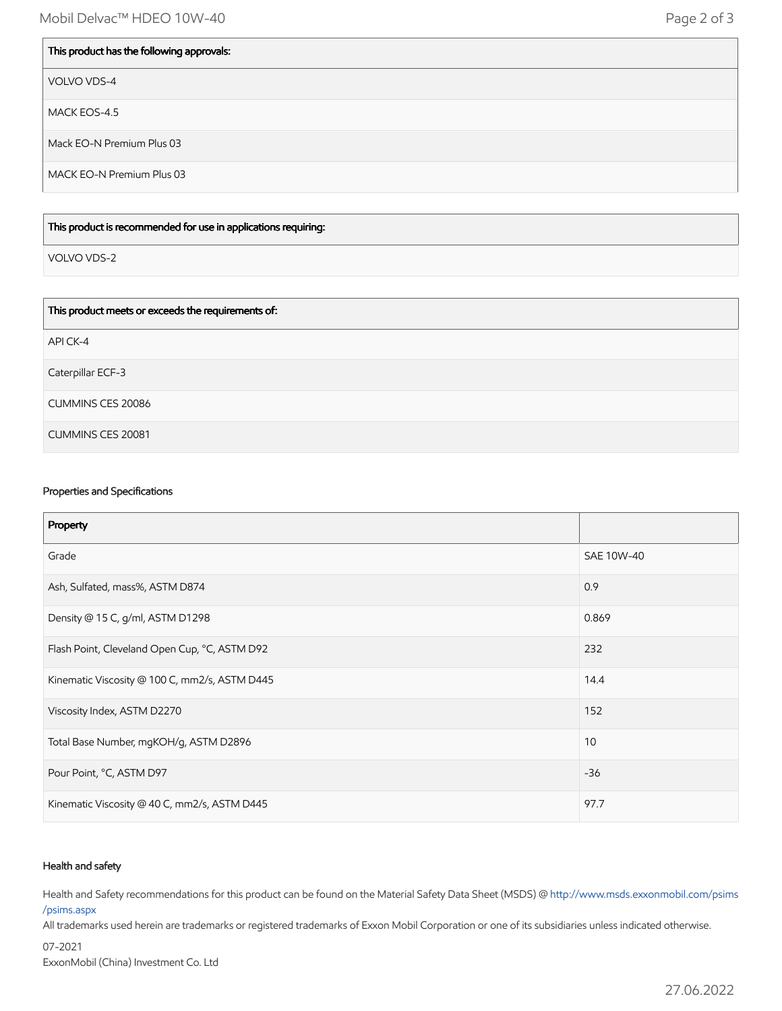## This product has the following approvals:

VOLVO VDS-4

MACK EOS-4.5

Mack EO-N Premium Plus 03

MACK EO-N Premium Plus 03

#### This product is recommended for use in applications requiring:

VOLVO VDS-2

| This product meets or exceeds the requirements of: |
|----------------------------------------------------|
| API CK-4                                           |
| Caterpillar ECF-3                                  |
| <b>CUMMINS CES 20086</b>                           |
| <b>CUMMINS CES 20081</b>                           |

#### Properties and Specifications

| Property                                      |            |
|-----------------------------------------------|------------|
| Grade                                         | SAE 10W-40 |
| Ash, Sulfated, mass%, ASTM D874               | 0.9        |
| Density @ 15 C, g/ml, ASTM D1298              | 0.869      |
| Flash Point, Cleveland Open Cup, °C, ASTM D92 | 232        |
| Kinematic Viscosity @ 100 C, mm2/s, ASTM D445 | 14.4       |
| Viscosity Index, ASTM D2270                   | 152        |
| Total Base Number, mgKOH/g, ASTM D2896        | 10         |
| Pour Point, °C, ASTM D97                      | $-36$      |
| Kinematic Viscosity @ 40 C, mm2/s, ASTM D445  | 97.7       |

#### Health and safety

Health and Safety recommendations for this product can be found on the Material Safety Data Sheet (MSDS) @ [http://www.msds.exxonmobil.com/psims](http://www.msds.exxonmobil.com/psims/psims.aspx) /psims.aspx

All trademarks used herein are trademarks or registered trademarks of Exxon Mobil Corporation or one of its subsidiaries unless indicated otherwise.

07-2021 ExxonMobil (China) Investment Co. Ltd